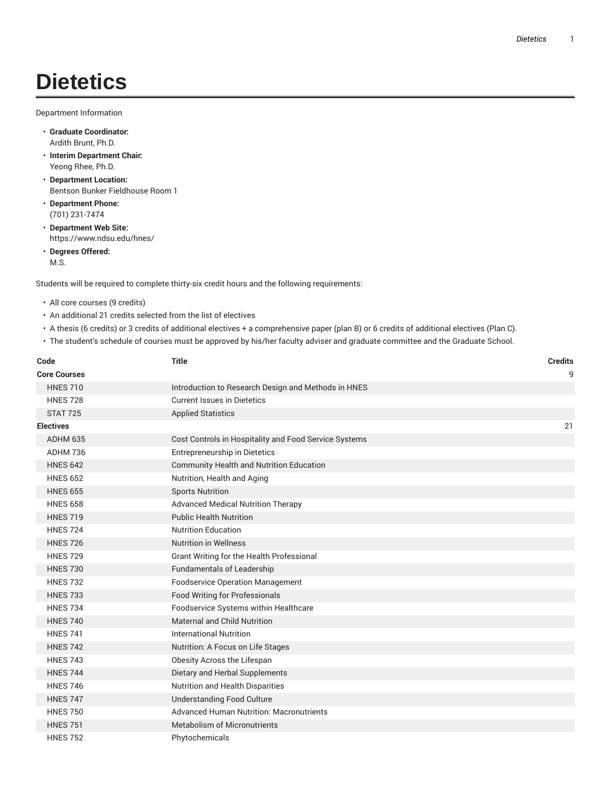## **Dietetics**

Department Information

- **Graduate Coordinator:** Ardith Brunt, Ph.D.
- **Interim Department Chair:** Yeong Rhee, Ph.D.
- **Department Location:** Bentson Bunker Fieldhouse Room 1
- **Department Phone:** (701) 231-7474
- **Department Web Site:** https://www.ndsu.edu/hnes/
- **Degrees Offered:** M.S.

Students will be required to complete thirty-six credit hours and the following requirements:

- All core courses (9 credits)
- An additional 21 credits selected from the list of electives
- A thesis (6 credits) or 3 credits of additional electives + a comprehensive paper (plan B) or 6 credits of additional electives (Plan C).
- The student's schedule of courses must be approved by his/her faculty adviser and graduate committee and the Graduate School.

| Code<br><b>Core Courses</b> | <b>Title</b>                                          | <b>Credits</b><br>9 |
|-----------------------------|-------------------------------------------------------|---------------------|
| <b>HNES 710</b>             | Introduction to Research Design and Methods in HNES   |                     |
| <b>HNES 728</b>             | <b>Current Issues in Dietetics</b>                    |                     |
| <b>STAT 725</b>             | <b>Applied Statistics</b>                             |                     |
| Electives                   |                                                       | 21                  |
| ADHM 635                    | Cost Controls in Hospitality and Food Service Systems |                     |
| ADHM 736                    | Entrepreneurship in Dietetics                         |                     |
| <b>HNES 642</b>             | <b>Community Health and Nutrition Education</b>       |                     |
| <b>HNES 652</b>             | Nutrition, Health and Aging                           |                     |
| <b>HNES 655</b>             | <b>Sports Nutrition</b>                               |                     |
| <b>HNES 658</b>             | <b>Advanced Medical Nutrition Therapy</b>             |                     |
| <b>HNES 719</b>             | <b>Public Health Nutrition</b>                        |                     |
| <b>HNES 724</b>             | <b>Nutrition Education</b>                            |                     |
| <b>HNES 726</b>             | <b>Nutrition in Wellness</b>                          |                     |
| <b>HNES 729</b>             | Grant Writing for the Health Professional             |                     |
| <b>HNES 730</b>             | <b>Fundamentals of Leadership</b>                     |                     |
| <b>HNES 732</b>             | <b>Foodservice Operation Management</b>               |                     |
| <b>HNES 733</b>             | <b>Food Writing for Professionals</b>                 |                     |
| <b>HNES 734</b>             | Foodservice Systems within Healthcare                 |                     |
| <b>HNES 740</b>             | Maternal and Child Nutrition                          |                     |
| <b>HNES 741</b>             | <b>International Nutrition</b>                        |                     |
| <b>HNES 742</b>             | Nutrition: A Focus on Life Stages                     |                     |
| <b>HNES 743</b>             | Obesity Across the Lifespan                           |                     |
| <b>HNES 744</b>             | Dietary and Herbal Supplements                        |                     |
| <b>HNES 746</b>             | Nutrition and Health Disparities                      |                     |
| <b>HNES 747</b>             | <b>Understanding Food Culture</b>                     |                     |
| <b>HNES 750</b>             | <b>Advanced Human Nutrition: Macronutrients</b>       |                     |
| <b>HNES 751</b>             | <b>Metabolism of Micronutrients</b>                   |                     |
| <b>HNES 752</b>             | Phytochemicals                                        |                     |